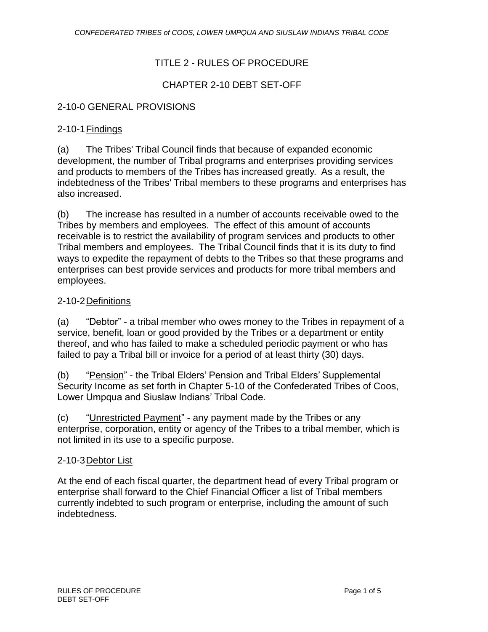## TITLE 2 - RULES OF PROCEDURE

## CHAPTER 2-10 DEBT SET-OFF

### 2-10-0 GENERAL PROVISIONS

### 2-10-1Findings

(a) The Tribes' Tribal Council finds that because of expanded economic development, the number of Tribal programs and enterprises providing services and products to members of the Tribes has increased greatly. As a result, the indebtedness of the Tribes' Tribal members to these programs and enterprises has also increased.

(b) The increase has resulted in a number of accounts receivable owed to the Tribes by members and employees. The effect of this amount of accounts receivable is to restrict the availability of program services and products to other Tribal members and employees. The Tribal Council finds that it is its duty to find ways to expedite the repayment of debts to the Tribes so that these programs and enterprises can best provide services and products for more tribal members and employees.

### 2-10-2Definitions

(a) "Debtor" - a tribal member who owes money to the Tribes in repayment of a service, benefit, loan or good provided by the Tribes or a department or entity thereof, and who has failed to make a scheduled periodic payment or who has failed to pay a Tribal bill or invoice for a period of at least thirty (30) days.

(b) "Pension" - the Tribal Elders' Pension and Tribal Elders' Supplemental Security Income as set forth in Chapter 5-10 of the Confederated Tribes of Coos, Lower Umpqua and Siuslaw Indians' Tribal Code.

(c) "Unrestricted Payment" - any payment made by the Tribes or any enterprise, corporation, entity or agency of the Tribes to a tribal member, which is not limited in its use to a specific purpose.

### 2-10-3 Debtor List

At the end of each fiscal quarter, the department head of every Tribal program or enterprise shall forward to the Chief Financial Officer a list of Tribal members currently indebted to such program or enterprise, including the amount of such indebtedness.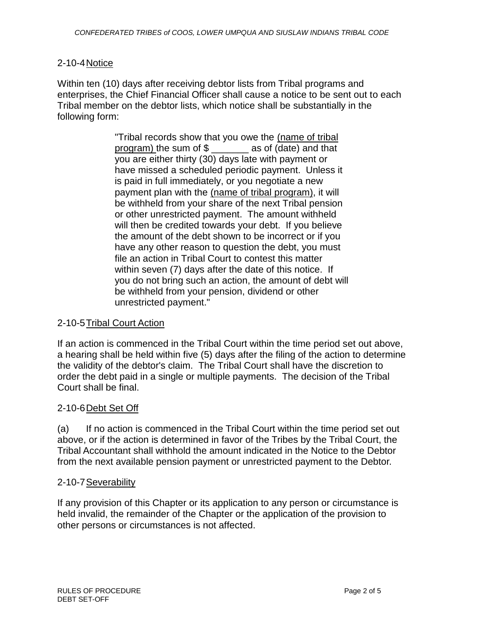### 2-10-4Notice

Within ten (10) days after receiving debtor lists from Tribal programs and enterprises, the Chief Financial Officer shall cause a notice to be sent out to each Tribal member on the debtor lists, which notice shall be substantially in the following form:

> "Tribal records show that you owe the (name of tribal program) the sum of \$ \_\_\_\_\_\_\_ as of (date) and that you are either thirty (30) days late with payment or have missed a scheduled periodic payment. Unless it is paid in full immediately, or you negotiate a new payment plan with the (name of tribal program), it will be withheld from your share of the next Tribal pension or other unrestricted payment. The amount withheld will then be credited towards your debt. If you believe the amount of the debt shown to be incorrect or if you have any other reason to question the debt, you must file an action in Tribal Court to contest this matter within seven (7) days after the date of this notice. If you do not bring such an action, the amount of debt will be withheld from your pension, dividend or other unrestricted payment."

### 2-10-5Tribal Court Action

If an action is commenced in the Tribal Court within the time period set out above, a hearing shall be held within five (5) days after the filing of the action to determine the validity of the debtor's claim. The Tribal Court shall have the discretion to order the debt paid in a single or multiple payments. The decision of the Tribal Court shall be final.

#### 2-10-6Debt Set Off

(a) If no action is commenced in the Tribal Court within the time period set out above, or if the action is determined in favor of the Tribes by the Tribal Court, the Tribal Accountant shall withhold the amount indicated in the Notice to the Debtor from the next available pension payment or unrestricted payment to the Debtor.

#### 2-10-7 Severability

If any provision of this Chapter or its application to any person or circumstance is held invalid, the remainder of the Chapter or the application of the provision to other persons or circumstances is not affected.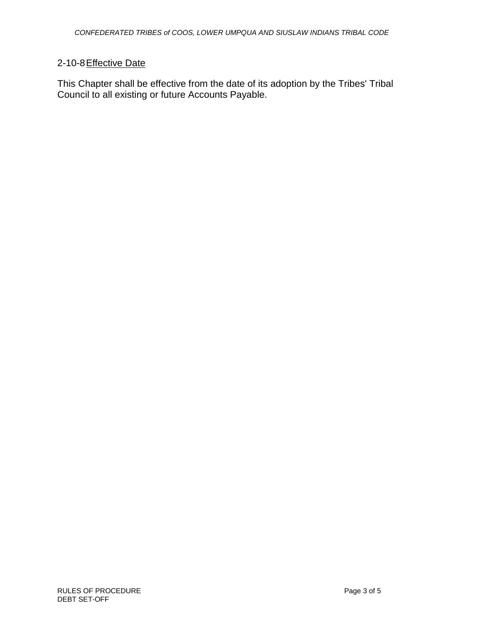# 2-10-8 Effective Date

This Chapter shall be effective from the date of its adoption by the Tribes' Tribal Council to all existing or future Accounts Payable.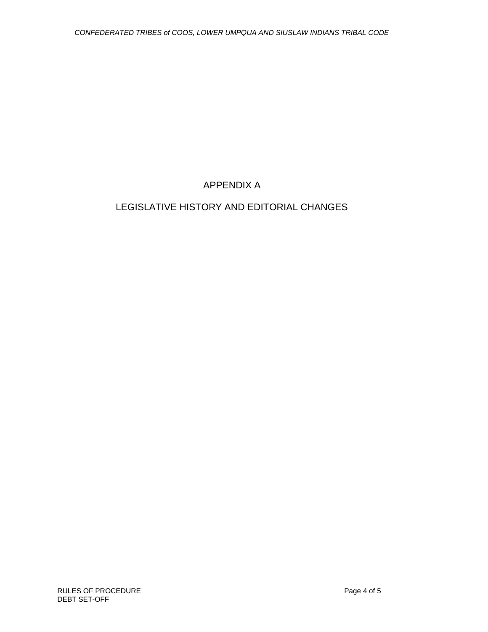APPENDIX A

# LEGISLATIVE HISTORY AND EDITORIAL CHANGES